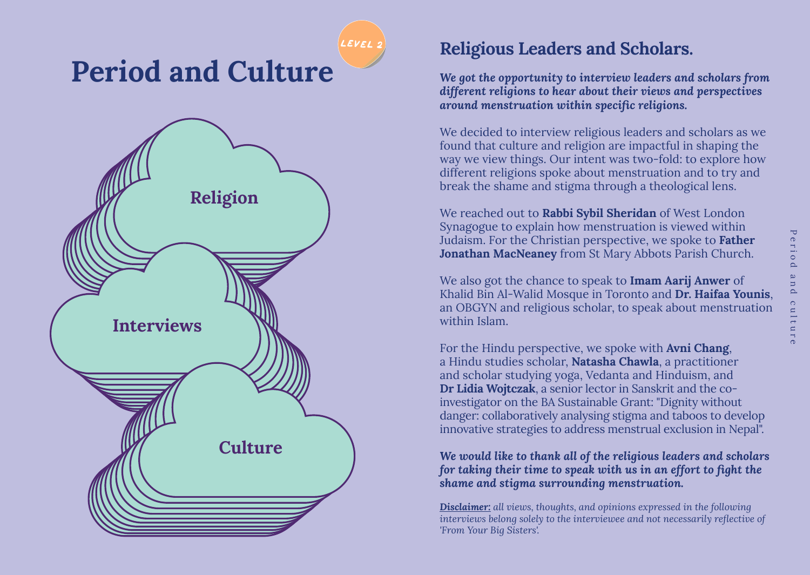

# **Religious Leaders and Scholars.**

*We got the opportunity to interview leaders and scholars from different religions to hear about their views and perspectives around menstruation within specific religions.*

We decided to interview religious leaders and scholars as we found that culture and religion are impactful in shaping the way we view things. Our intent was two-fold: to explore how different religions spoke about menstruation and to try and break the shame and stigma through a theological lens.

We reached out to **Rabbi Sybil Sheridan** of West London Synagogue to explain how menstruation is viewed within Judaism. For the Christian perspective, we spoke to **Father Jonathan MacNeaney** from St Mary Abbots Parish Church.

We also got the chance to speak to **Imam Aarij Anwer** of Khalid Bin Al-Walid Mosque in Toronto and **Dr. Haifaa Younis**, an OBGYN and religious scholar, to speak about menstruation within Islam.

For the Hindu perspective, we spoke with **Avni Chang**, a Hindu studies scholar, **Natasha Chawla**, a practitioner and scholar studying yoga, Vedanta and Hinduism, and **Dr Lidia Wojtczak**, a senior lector in Sanskrit and the coinvestigator on the BA Sustainable Grant: "Dignity without danger: collaboratively analysing stigma and taboos to develop innovative strategies to address menstrual exclusion in Nepal".

*We would like to thank all of the religious leaders and scholars for taking their time to speak with us in an effort to fight the shame and stigma surrounding menstruation.*

*Disclaimer: all views, thoughts, and opinions expressed in the following interviews belong solely to the interviewee and not necessarily reflective of 'From Your Big Sisters'.*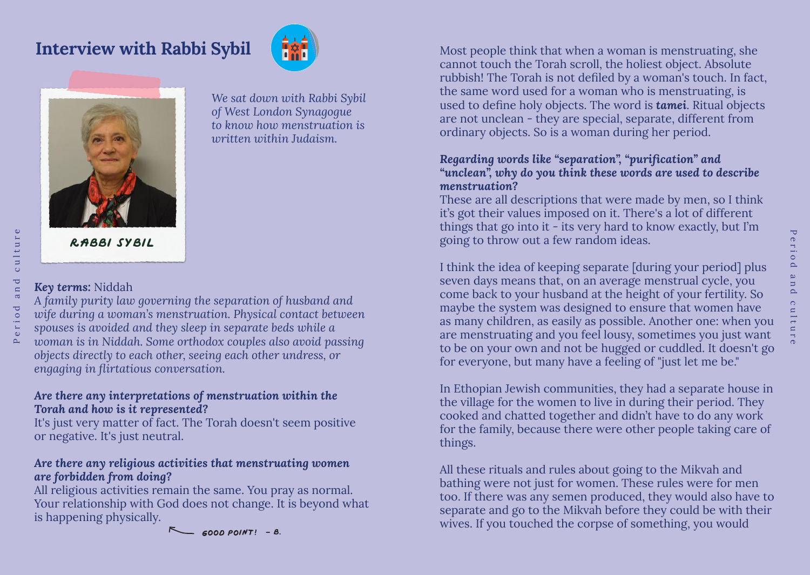



*We sat down with Rabbi Sybil of West London Synagogue to know how menstruation is written within Judaism.* 

# *Key terms:* Niddah

Period and culture

<sub>n</sub>d

eriod

culture

*A family purity law governing the separation of husband and wife during a woman's menstruation. Physical contact between spouses is avoided and they sleep in separate beds while a woman is in Niddah. Some orthodox couples also avoid passing objects directly to each other, seeing each other undress, or engaging in flirtatious conversation.* 

# *Are there any interpretations of menstruation within the Torah and how is it represented?*

It's just very matter of fact. The Torah doesn't seem positive or negative. It's just neutral.

# *Are there any religious activities that menstruating women are forbidden from doing?*

All religious activities remain the same. You pray as normal. Your relationship with God does not change. It is beyond what is happening physically.

 $F \leftarrow 6000 P0INT! - B$ .

**Interview with Rabbi Sybil**  $\left\{\mathbb{R}^{\bullet}\right\}$ cannot touch the Torah scroll, the holiest object. Absolute rubbish! The Torah is not defiled by a woman's touch. In fact, the same word used for a woman who is menstruating, is used to define holy objects. The word is *tamei*. Ritual objects are not unclean - they are special, separate, different from ordinary objects. So is a woman during her period.

# *Regarding words like "separation", "purification" and "unclean", why do you think these words are used to describe menstruation?*

These are all descriptions that were made by men, so I think it's got their values imposed on it. There's a lot of different things that go into it - its very hard to know exactly, but I'm going to throw out a few random ideas.

I think the idea of keeping separate [during your period] plus seven days means that, on an average menstrual cycle, you come back to your husband at the height of your fertility. So maybe the system was designed to ensure that women have as many children, as easily as possible. Another one: when you are menstruating and you feel lousy, sometimes you just want to be on your own and not be hugged or cuddled. It doesn't go for everyone, but many have a feeling of "just let me be."

In Ethopian Jewish communities, they had a separate house in the village for the women to live in during their period. They cooked and chatted together and didn't have to do any work for the family, because there were other people taking care of things.

All these rituals and rules about going to the Mikvah and bathing were not just for women. These rules were for men too. If there was any semen produced, they would also have to separate and go to the Mikvah before they could be with their wives. If you touched the corpse of something, you would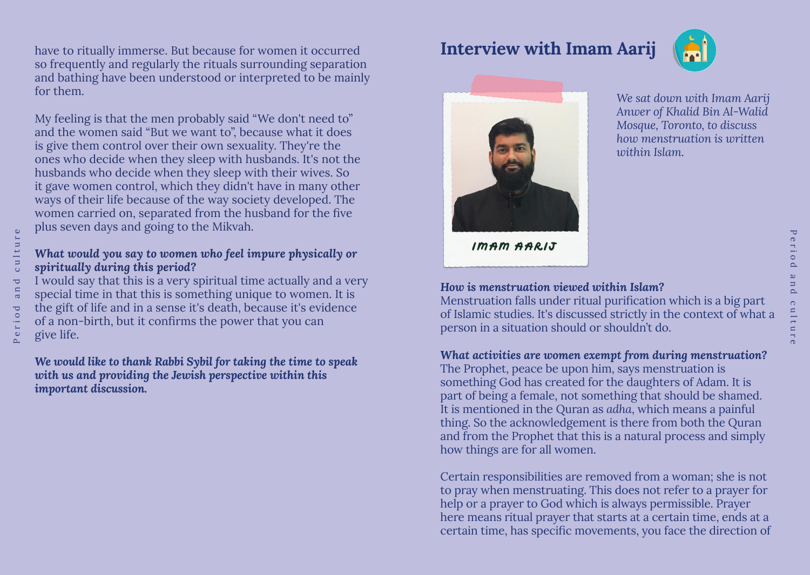have to ritually immerse. But because for women it occurred so frequently and regularly the rituals surrounding separation and bathing have been understood or interpreted to be mainly for them.

My feeling is that the men probably said "We don't need to" and the women said "But we want to", because what it does is give them control over their own sexuality. They're the ones who decide when they sleep with husbands. It's not the husbands who decide when they sleep with their wives. So it gave women control, which they didn't have in many other ways of their life because of the way society developed. The women carried on, separated from the husband for the five plus seven days and going to the Mikvah.

# *What would you say to women who feel impure physically or spiritually during this period?*

I would say that this is a very spiritual time actually and a very special time in that this is something unique to women. It is the gift of life and in a sense it's death, because it's evidence of a non-birth, but it confirms the power that you can give life.

*We would like to thank Rabbi Sybil for taking the time to speak with us and providing the Jewish perspective within this important discussion.*

# **Interview with Imam Aarij**





*We sat down with Imam Aarij Anwer of Khalid Bin Al-Walid Mosque, Toronto, to discuss how menstruation is written within Islam.*

Period and culture

ultur

آها  $\circ$ 

 $\Box$ 

e r  $\circ$  $\Delta$  $\mathbf{\underline{\omega}}$ 

**Imam Aarij**

#### *How is menstruation viewed within Islam?*

Menstruation falls under ritual purification which is a big part of Islamic studies. It's discussed strictly in the context of what a person in a situation should or shouldn't do.

#### *What activities are women exempt from during menstruation?*

The Prophet, peace be upon him, says menstruation is something God has created for the daughters of Adam. It is part of being a female, not something that should be shamed. It is mentioned in the Quran as *adha*, which means a painful thing. So the acknowledgement is there from both the Quran and from the Prophet that this is a natural process and simply how things are for all women.

Certain responsibilities are removed from a woman; she is not to pray when menstruating. This does not refer to a prayer for help or a prayer to God which is always permissible. Prayer here means ritual prayer that starts at a certain time, ends at a certain time, has specific movements, you face the direction of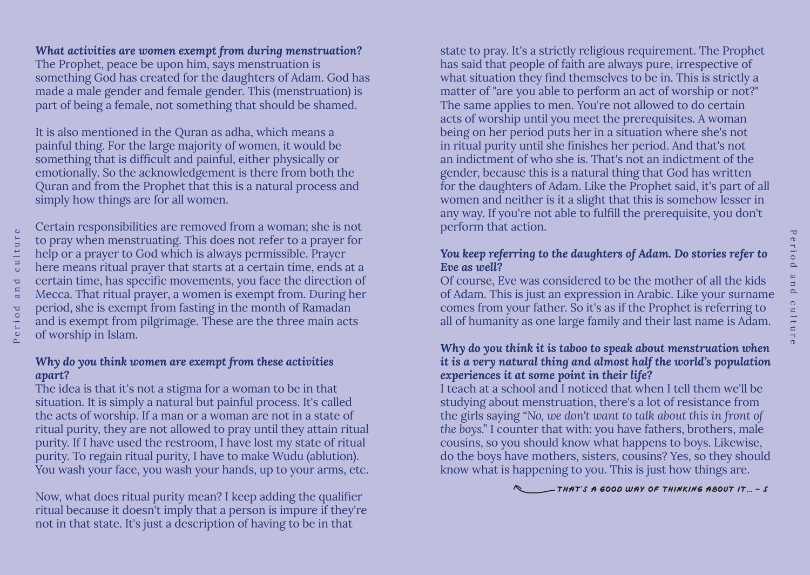# *What activities are women exempt from during menstruation?*

The Prophet, peace be upon him, says menstruation is something God has created for the daughters of Adam. God has made a male gender and female gender. This (menstruation) is part of being a female, not something that should be shamed.

It is also mentioned in the Quran as adha, which means a painful thing. For the large majority of women, it would be something that is difficult and painful, either physically or emotionally. So the acknowledgement is there from both the Quran and from the Prophet that this is a natural process and simply how things are for all women.

Certain responsibilities are removed from a woman; she is not to pray when menstruating. This does not refer to a prayer for help or a prayer to God which is always permissible. Prayer here means ritual prayer that starts at a certain time, ends at a certain time, has specific movements, you face the direction of Mecca. That ritual prayer, a women is exempt from. During her period, she is exempt from fasting in the month of Ramadan and is exempt from pilgrimage. These are the three main acts of worship in Islam.

#### *Why do you think women are exempt from these activities apart?*

The idea is that it's not a stigma for a woman to be in that situation. It is simply a natural but painful process. It's called the acts of worship. If a man or a woman are not in a state of ritual purity, they are not allowed to pray until they attain ritual purity. If I have used the restroom, I have lost my state of ritual purity. To regain ritual purity, I have to make Wudu (ablution). You wash your face, you wash your hands, up to your arms, etc.

Now, what does ritual purity mean? I keep adding the qualifier ritual because it doesn't imply that a person is impure if they're not in that state. It's just a description of having to be in that

state to pray. It's a strictly religious requirement. The Prophet has said that people of faith are always pure, irrespective of what situation they find themselves to be in. This is strictly a matter of "are you able to perform an act of worship or not?" The same applies to men. You're not allowed to do certain acts of worship until you meet the prerequisites. A woman being on her period puts her in a situation where she's not in ritual purity until she finishes her period. And that's not an indictment of who she is. That's not an indictment of the gender, because this is a natural thing that God has written for the daughters of Adam. Like the Prophet said, it's part of all women and neither is it a slight that this is somehow lesser in any way. If you're not able to fulfill the prerequisite, you don't perform that action.

# *You keep referring to the daughters of Adam. Do stories refer to Eve as well?*

Of course, Eve was considered to be the mother of all the kids of Adam. This is just an expression in Arabic. Like your surname comes from your father. So it's as if the Prophet is referring to all of humanity as one large family and their last name is Adam.

#### *Why do you think it is taboo to speak about menstruation when it is a very natural thing and almost half the world's population experiences it at some point in their life?*

I teach at a school and I noticed that when I tell them we'll be studying about menstruation, there's a lot of resistance from the girls saying *"No, we don't want to talk about this in front of the boys."* I counter that with: you have fathers, brothers, male cousins, so you should know what happens to boys. Likewise, do the boys have mothers, sisters, cousins? Yes, so they should know what is happening to you. This is just how things are.

**thAT'S A GOOD WAY OF THINKING ABOUT IT... - s**

 $\overline{\mathbf{C}}$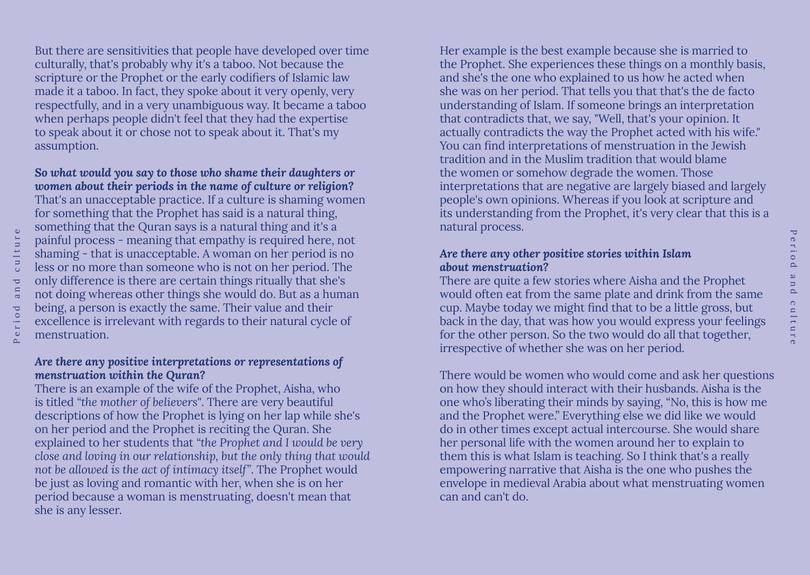But there are sensitivities that people have developed over time culturally, that's probably why it's a taboo. Not because the scripture or the Prophet or the early codifiers of Islamic law made it a taboo. In fact, they spoke about it very openly, very respectfully, and in a very unambiguous way. It became a taboo when perhaps people didn't feel that they had the expertise to speak about it or chose not to speak about it. That's my assumption.

*So what would you say to those who shame their daughters or women about their periods in the name of culture or religion?*

That's an unacceptable practice. If a culture is shaming women for something that the Prophet has said is a natural thing, something that the Quran says is a natural thing and it's a painful process - meaning that empathy is required here, not shaming - that is unacceptable. A woman on her period is no less or no more than someone who is not on her period. The only difference is there are certain things ritually that she's not doing whereas other things she would do. But as a human being, a person is exactly the same. Their value and their excellence is irrelevant with regards to their natural cycle of menstruation.

#### *Are there any positive interpretations or representations of menstruation within the Quran?*

There is an example of the wife of the Prophet, Aisha, who is titled *"the mother of believers"*. There are very beautiful descriptions of how the Prophet is lying on her lap while she's on her period and the Prophet is reciting the Quran. She explained to her students that *"the Prophet and I would be very close and loving in our relationship, but the only thing that would not be allowed is the act of intimacy itself"*. The Prophet would be just as loving and romantic with her, when she is on her period because a woman is menstruating, doesn't mean that she is any lesser.

Her example is the best example because she is married to the Prophet. She experiences these things on a monthly basis, and she's the one who explained to us how he acted when she was on her period. That tells you that that's the de facto understanding of Islam. If someone brings an interpretation that contradicts that, we say, "Well, that's your opinion. It actually contradicts the way the Prophet acted with his wife." You can find interpretations of menstruation in the Jewish tradition and in the Muslim tradition that would blame the women or somehow degrade the women. Those interpretations that are negative are largely biased and largely people's own opinions. Whereas if you look at scripture and its understanding from the Prophet, it's very clear that this is a natural process.

#### *Are there any other positive stories within Islam about menstruation?*

There are quite a few stories where Aisha and the Prophet would often eat from the same plate and drink from the same cup. Maybe today we might find that to be a little gross, but back in the day, that was how you would express your feelings for the other person. So the two would do all that together, irrespective of whether she was on her period.

There would be women who would come and ask her questions on how they should interact with their husbands. Aisha is the one who's liberating their minds by saying, "No, this is how me and the Prophet were." Everything else we did like we would do in other times except actual intercourse. She would share her personal life with the women around her to explain to them this is what Islam is teaching. So I think that's a really empowering narrative that Aisha is the one who pushes the envelope in medieval Arabia about what menstruating women can and can't do.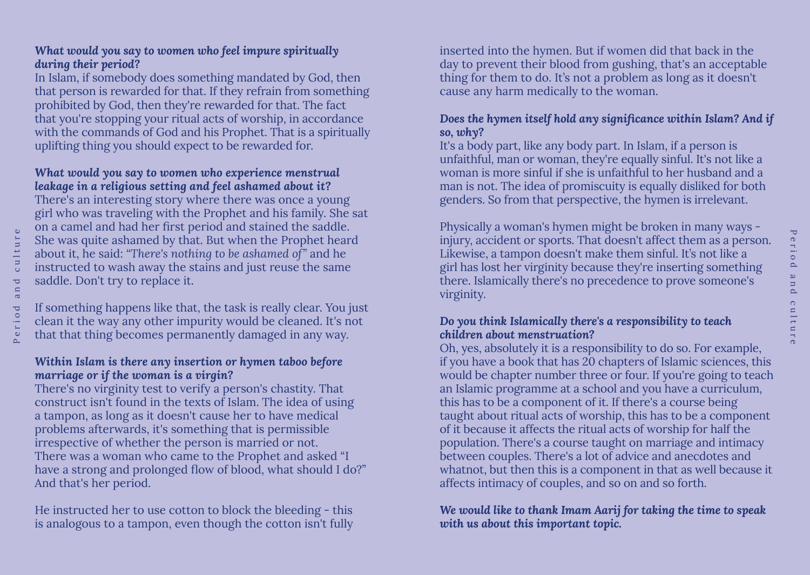# *What would you say to women who feel impure spiritually during their period?*

In Islam, if somebody does something mandated by God, then that person is rewarded for that. If they refrain from something prohibited by God, then they're rewarded for that. The fact that you're stopping your ritual acts of worship, in accordance with the commands of God and his Prophet. That is a spiritually uplifting thing you should expect to be rewarded for.

### *What would you say to women who experience menstrual leakage in a religious setting and feel ashamed about it?*

There's an interesting story where there was once a young girl who was traveling with the Prophet and his family. She sat on a camel and had her first period and stained the saddle. She was quite ashamed by that. But when the Prophet heard about it, he said: *"There's nothing to be ashamed of"* and he instructed to wash away the stains and just reuse the same saddle. Don't try to replace it.

If something happens like that, the task is really clear. You just clean it the way any other impurity would be cleaned. It's not that that thing becomes permanently damaged in any way.

#### *Within Islam is there any insertion or hymen taboo before marriage or if the woman is a virgin?*

There's no virginity test to verify a person's chastity. That construct isn't found in the texts of Islam. The idea of using a tampon, as long as it doesn't cause her to have medical problems afterwards, it's something that is permissible irrespective of whether the person is married or not. There was a woman who came to the Prophet and asked "I have a strong and prolonged flow of blood, what should I do?" And that's her period.

He instructed her to use cotton to block the bleeding - this is analogous to a tampon, even though the cotton isn't fully inserted into the hymen. But if women did that back in the day to prevent their blood from gushing, that's an acceptable thing for them to do. It's not a problem as long as it doesn't cause any harm medically to the woman.

# *Does the hymen itself hold any significance within Islam? And if so, why?*

It's a body part, like any body part. In Islam, if a person is unfaithful, man or woman, they're equally sinful. It's not like a woman is more sinful if she is unfaithful to her husband and a man is not. The idea of promiscuity is equally disliked for both genders. So from that perspective, the hymen is irrelevant.

Physically a woman's hymen might be broken in many ways injury, accident or sports. That doesn't affect them as a person. Likewise, a tampon doesn't make them sinful. It's not like a girl has lost her virginity because they're inserting something there. Islamically there's no precedence to prove someone's virginity.

#### *Do you think Islamically there's a responsibility to teach children about menstruation?*

Oh, yes, absolutely it is a responsibility to do so. For example, if you have a book that has 20 chapters of Islamic sciences, this would be chapter number three or four. If you're going to teach an Islamic programme at a school and you have a curriculum, this has to be a component of it. If there's a course being taught about ritual acts of worship, this has to be a component of it because it affects the ritual acts of worship for half the population. There's a course taught on marriage and intimacy between couples. There's a lot of advice and anecdotes and whatnot, but then this is a component in that as well because it affects intimacy of couples, and so on and so forth.

# *We would like to thank Imam Aarij for taking the time to speak with us about this important topic.*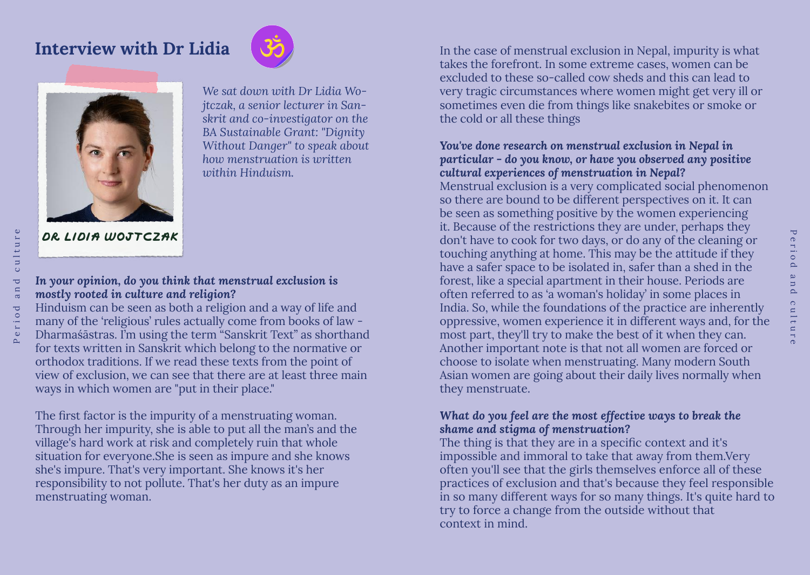# **Interview with Dr Lidia**





*We sat down with Dr Lidia Wojtczak, a senior lecturer in Sanskrit and co-investigator on the BA Sustainable Grant: "Dignity Without Danger" to speak about how menstruation is written within Hinduism.* 

**DR lidia wojtczak**

# *In your opinion, do you think that menstrual exclusion is mostly rooted in culture and religion?*

Hinduism can be seen as both a religion and a way of life and many of the 'religious' rules actually come from books of law - Dharmaśāstras. I'm using the term "Sanskrit Text" as shorthand for texts written in Sanskrit which belong to the normative or orthodox traditions. If we read these texts from the point of view of exclusion, we can see that there are at least three main ways in which women are "put in their place."

The first factor is the impurity of a menstruating woman. Through her impurity, she is able to put all the man's and the village's hard work at risk and completely ruin that whole situation for everyone.She is seen as impure and she knows she's impure. That's very important. She knows it's her responsibility to not pollute. That's her duty as an impure menstruating woman.

In the case of menstrual exclusion in Nepal, impurity is what takes the forefront. In some extreme cases, women can be excluded to these so-called cow sheds and this can lead to very tragic circumstances where women might get very ill or sometimes even die from things like snakebites or smoke or the cold or all these things

# *You've done research on menstrual exclusion in Nepal in particular - do you know, or have you observed any positive cultural experiences of menstruation in Nepal?*

Menstrual exclusion is a very complicated social phenomenon so there are bound to be different perspectives on it. It can be seen as something positive by the women experiencing it. Because of the restrictions they are under, perhaps they don't have to cook for two days, or do any of the cleaning or touching anything at home. This may be the attitude if they have a safer space to be isolated in, safer than a shed in the forest, like a special apartment in their house. Periods are often referred to as 'a woman's holiday' in some places in India. So, while the foundations of the practice are inherently oppressive, women experience it in different ways and, for the most part, they'll try to make the best of it when they can. Another important note is that not all women are forced or choose to isolate when menstruating. Many modern South Asian women are going about their daily lives normally when they menstruate.

# *What do you feel are the most effective ways to break the shame and stigma of menstruation?*

The thing is that they are in a specific context and it's impossible and immoral to take that away from them.Very often you'll see that the girls themselves enforce all of these practices of exclusion and that's because they feel responsible in so many different ways for so many things. It's quite hard to try to force a change from the outside without that context in mind.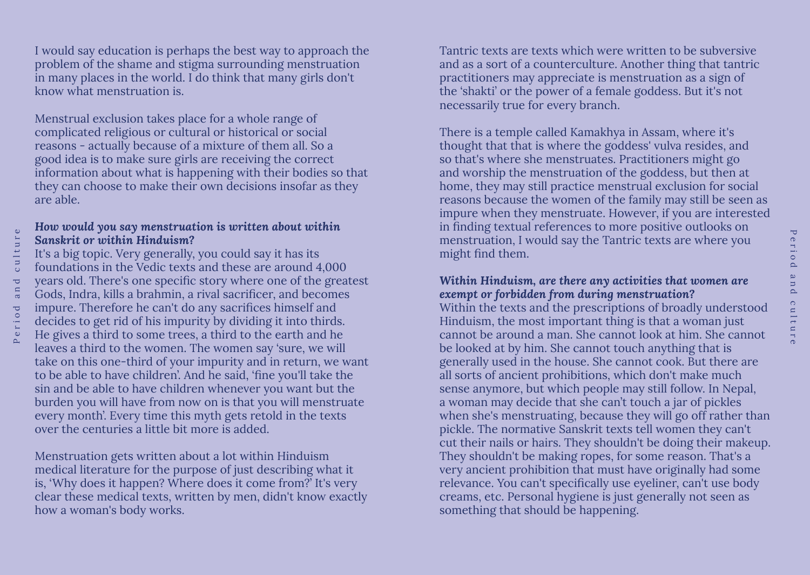I would say education is perhaps the best way to approach the problem of the shame and stigma surrounding menstruation in many places in the world. I do think that many girls don't know what menstruation is.

Menstrual exclusion takes place for a whole range of complicated religious or cultural or historical or social reasons - actually because of a mixture of them all. So a good idea is to make sure girls are receiving the correct information about what is happening with their bodies so that they can choose to make their own decisions insofar as they are able.

#### *How would you say menstruation is written about within Sanskrit or within Hinduism?*

It's a big topic. Very generally, you could say it has its foundations in the Vedic texts and these are around 4,000 years old. There's one specific story where one of the greatest Gods, Indra, kills a brahmin, a rival sacrificer, and becomes impure. Therefore he can't do any sacrifices himself and decides to get rid of his impurity by dividing it into thirds. He gives a third to some trees, a third to the earth and he leaves a third to the women. The women say 'sure, we will take on this one-third of your impurity and in return, we want to be able to have children'. And he said, 'fine you'll take the sin and be able to have children whenever you want but the burden you will have from now on is that you will menstruate every month'. Every time this myth gets retold in the texts over the centuries a little bit more is added.

Menstruation gets written about a lot within Hinduism medical literature for the purpose of just describing what it is, 'Why does it happen? Where does it come from?' It's very clear these medical texts, written by men, didn't know exactly how a woman's body works.

Tantric texts are texts which were written to be subversive and as a sort of a counterculture. Another thing that tantric practitioners may appreciate is menstruation as a sign of the 'shakti' or the power of a female goddess. But it's not necessarily true for every branch.

There is a temple called Kamakhya in Assam, where it's thought that that is where the goddess' vulva resides, and so that's where she menstruates. Practitioners might go and worship the menstruation of the goddess, but then at home, they may still practice menstrual exclusion for social reasons because the women of the family may still be seen as impure when they menstruate. However, if you are interested in finding textual references to more positive outlooks on menstruation, I would say the Tantric texts are where you might find them.

#### *Within Hinduism, are there any activities that women are exempt or forbidden from during menstruation?*

Within the texts and the prescriptions of broadly understood Hinduism, the most important thing is that a woman just cannot be around a man. She cannot look at him. She cannot be looked at by him. She cannot touch anything that is generally used in the house. She cannot cook. But there are all sorts of ancient prohibitions, which don't make much sense anymore, but which people may still follow. In Nepal, a woman may decide that she can't touch a jar of pickles when she's menstruating, because they will go off rather than pickle. The normative Sanskrit texts tell women they can't cut their nails or hairs. They shouldn't be doing their makeup. They shouldn't be making ropes, for some reason. That's a very ancient prohibition that must have originally had some relevance. You can't specifically use eyeliner, can't use body creams, etc. Personal hygiene is just generally not seen as something that should be happening.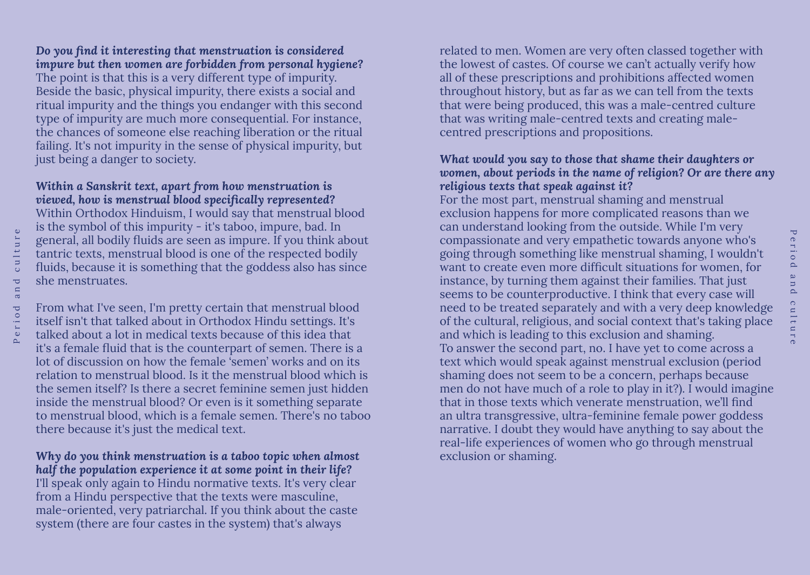# *Do you find it interesting that menstruation is considered impure but then women are forbidden from personal hygiene?* The point is that this is a very different type of impurity.

Beside the basic, physical impurity, there exists a social and ritual impurity and the things you endanger with this second type of impurity are much more consequential. For instance, the chances of someone else reaching liberation or the ritual failing. It's not impurity in the sense of physical impurity, but just being a danger to society.

#### *Within a Sanskrit text, apart from how menstruation is viewed, how is menstrual blood specifically represented?*

Within Orthodox Hinduism, I would say that menstrual blood is the symbol of this impurity - it's taboo, impure, bad. In general, all bodily fluids are seen as impure. If you think about tantric texts, menstrual blood is one of the respected bodily fluids, because it is something that the goddess also has since she menstruates.

From what I've seen, I'm pretty certain that menstrual blood itself isn't that talked about in Orthodox Hindu settings. It's talked about a lot in medical texts because of this idea that it's a female fluid that is the counterpart of semen. There is a lot of discussion on how the female 'semen' works and on its relation to menstrual blood. Is it the menstrual blood which is the semen itself? Is there a secret feminine semen just hidden inside the menstrual blood? Or even is it something separate to menstrual blood, which is a female semen. There's no taboo there because it's just the medical text.

# *Why do you think menstruation is a taboo topic when almost half the population experience it at some point in their life?*

I'll speak only again to Hindu normative texts. It's very clear from a Hindu perspective that the texts were masculine, male-oriented, very patriarchal. If you think about the caste system (there are four castes in the system) that's always

related to men. Women are very often classed together with the lowest of castes. Of course we can't actually verify how all of these prescriptions and prohibitions affected women throughout history, but as far as we can tell from the texts that were being produced, this was a male-centred culture that was writing male-centred texts and creating malecentred prescriptions and propositions.

#### *What would you say to those that shame their daughters or women, about periods in the name of religion? Or are there any religious texts that speak against it?*

For the most part, menstrual shaming and menstrual exclusion happens for more complicated reasons than we can understand looking from the outside. While I'm very compassionate and very empathetic towards anyone who's going through something like menstrual shaming, I wouldn't want to create even more difficult situations for women, for instance, by turning them against their families. That just seems to be counterproductive. I think that every case will need to be treated separately and with a very deep knowledge of the cultural, religious, and social context that's taking place and which is leading to this exclusion and shaming. To answer the second part, no. I have yet to come across a text which would speak against menstrual exclusion (period shaming does not seem to be a concern, perhaps because men do not have much of a role to play in it?). I would imagine that in those texts which venerate menstruation, we'll find an ultra transgressive, ultra-feminine female power goddess narrative. I doubt they would have anything to say about the real-life experiences of women who go through menstrual exclusion or shaming.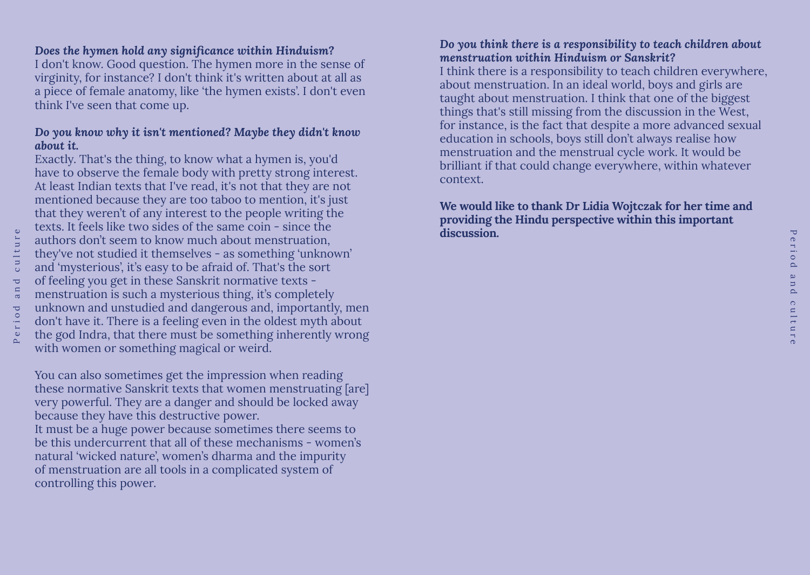### *Does the hymen hold any significance within Hinduism?*

I don't know. Good question. The hymen more in the sense of virginity, for instance? I don't think it's written about at all as a piece of female anatomy, like 'the hymen exists'. I don't even think I've seen that come up.

# *Do you know why it isn't mentioned? Maybe they didn't know about it.*

Exactly. That's the thing, to know what a hymen is, you'd have to observe the female body with pretty strong interest. At least Indian texts that I've read, it's not that they are not mentioned because they are too taboo to mention, it's just that they weren't of any interest to the people writing the texts. It feels like two sides of the same coin - since the authors don't seem to know much about menstruation, they've not studied it themselves - as something 'unknown' and 'mysterious', it's easy to be afraid of. That's the sort of feeling you get in these Sanskrit normative texts menstruation is such a mysterious thing, it's completely unknown and unstudied and dangerous and, importantly, men don't have it. There is a feeling even in the oldest myth about the god Indra, that there must be something inherently wrong with women or something magical or weird.

You can also sometimes get the impression when reading these normative Sanskrit texts that women menstruating [are] very powerful. They are a danger and should be locked away because they have this destructive power. It must be a huge power because sometimes there seems to be this undercurrent that all of these mechanisms - women's natural 'wicked nature', women's dharma and the impurity of menstruation are all tools in a complicated system of controlling this power.

#### *Do you think there is a responsibility to teach children about menstruation within Hinduism or Sanskrit?*

I think there is a responsibility to teach children everywhere, about menstruation. In an ideal world, boys and girls are taught about menstruation. I think that one of the biggest things that's still missing from the discussion in the West, for instance, is the fact that despite a more advanced sexual education in schools, boys still don't always realise how menstruation and the menstrual cycle work. It would be brilliant if that could change everywhere, within whatever context.

## **We would like to thank Dr Lidia Wojtczak for her time and providing the Hindu perspective within this important discussion.**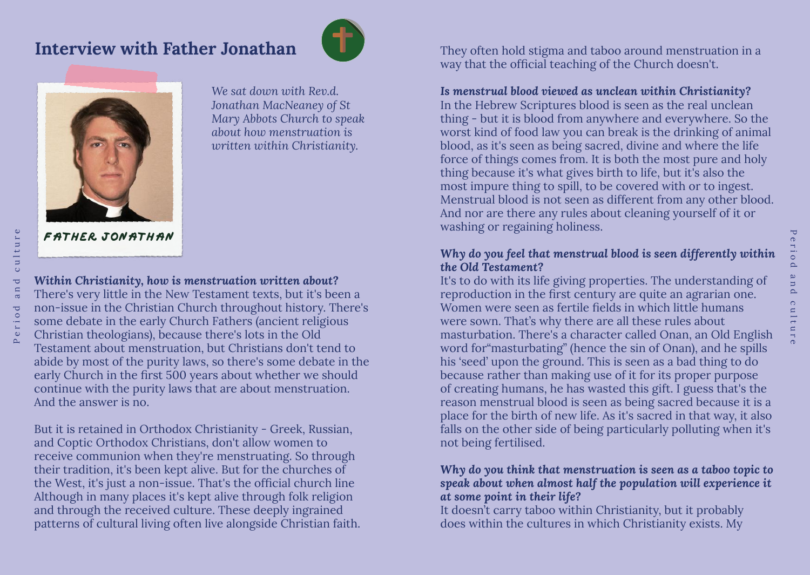# **Interview with Father Jonathan**





*We sat down with Rev.d. Jonathan MacNeaney of St Mary Abbots Church to speak about how menstruation is written within Christianity.* 

**Father Jonathan**

*Within Christianity, how is menstruation written about?* There's very little in the New Testament texts, but it's been a non-issue in the Christian Church throughout history. There's some debate in the early Church Fathers (ancient religious Christian theologians), because there's lots in the Old Testament about menstruation, but Christians don't tend to abide by most of the purity laws, so there's some debate in the early Church in the first 500 years about whether we should continue with the purity laws that are about menstruation. And the answer is no.

But it is retained in Orthodox Christianity - Greek, Russian, and Coptic Orthodox Christians, don't allow women to receive communion when they're menstruating. So through their tradition, it's been kept alive. But for the churches of the West, it's just a non-issue. That's the official church line Although in many places it's kept alive through folk religion and through the received culture. These deeply ingrained patterns of cultural living often live alongside Christian faith. They often hold stigma and taboo around menstruation in a way that the official teaching of the Church doesn't.

### *Is menstrual blood viewed as unclean within Christianity?*

In the Hebrew Scriptures blood is seen as the real unclean thing - but it is blood from anywhere and everywhere. So the worst kind of food law you can break is the drinking of animal blood, as it's seen as being sacred, divine and where the life force of things comes from. It is both the most pure and holy thing because it's what gives birth to life, but it's also the most impure thing to spill, to be covered with or to ingest. Menstrual blood is not seen as different from any other blood. And nor are there any rules about cleaning yourself of it or washing or regaining holiness.

# *Why do you feel that menstrual blood is seen differently within the Old Testament?*

It's to do with its life giving properties. The understanding of reproduction in the first century are quite an agrarian one. Women were seen as fertile fields in which little humans were sown. That's why there are all these rules about masturbation. There's a character called Onan, an Old English word for"masturbating" (hence the sin of Onan), and he spills his 'seed' upon the ground. This is seen as a bad thing to do because rather than making use of it for its proper purpose of creating humans, he has wasted this gift. I guess that's the reason menstrual blood is seen as being sacred because it is a place for the birth of new life. As it's sacred in that way, it also falls on the other side of being particularly polluting when it's not being fertilised.

#### *Why do you think that menstruation is seen as a taboo topic to speak about when almost half the population will experience it at some point in their life?*

It doesn't carry taboo within Christianity, but it probably does within the cultures in which Christianity exists. My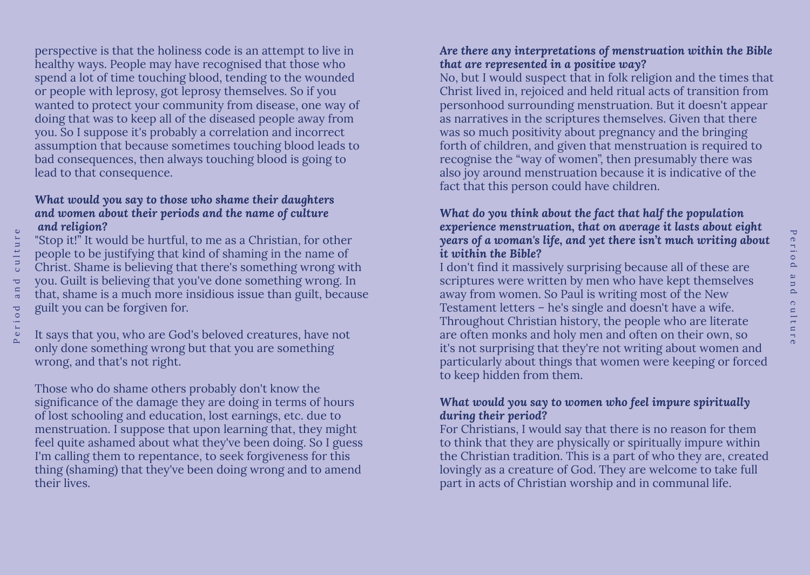perspective is that the holiness code is an attempt to live in healthy ways. People may have recognised that those who spend a lot of time touching blood, tending to the wounded or people with leprosy, got leprosy themselves. So if you wanted to protect your community from disease, one way of doing that was to keep all of the diseased people away from you. So I suppose it's probably a correlation and incorrect assumption that because sometimes touching blood leads to bad consequences, then always touching blood is going to lead to that consequence.

#### *What would you say to those who shame their daughters and women about their periods and the name of culture and religion?*

"Stop it!" It would be hurtful, to me as a Christian, for other people to be justifying that kind of shaming in the name of Christ. Shame is believing that there's something wrong with you. Guilt is believing that you've done something wrong. In that, shame is a much more insidious issue than guilt, because guilt you can be forgiven for.

It says that you, who are God's beloved creatures, have not only done something wrong but that you are something wrong, and that's not right.

Those who do shame others probably don't know the significance of the damage they are doing in terms of hours of lost schooling and education, lost earnings, etc. due to menstruation. I suppose that upon learning that, they might feel quite ashamed about what they've been doing. So I guess I'm calling them to repentance, to seek forgiveness for this thing (shaming) that they've been doing wrong and to amend their lives.

# *Are there any interpretations of menstruation within the Bible that are represented in a positive way?*

No, but I would suspect that in folk religion and the times that Christ lived in, rejoiced and held ritual acts of transition from personhood surrounding menstruation. But it doesn't appear as narratives in the scriptures themselves. Given that there was so much positivity about pregnancy and the bringing forth of children, and given that menstruation is required to recognise the "way of women", then presumably there was also joy around menstruation because it is indicative of the fact that this person could have children.

#### *What do you think about the fact that half the population experience menstruation, that on average it lasts about eight years of a woman's life, and yet there isn't much writing about it within the Bible?*

I don't find it massively surprising because all of these are scriptures were written by men who have kept themselves away from women. So Paul is writing most of the New Testament letters – he's single and doesn't have a wife. Throughout Christian history, the people who are literate are often monks and holy men and often on their own, so it's not surprising that they're not writing about women and particularly about things that women were keeping or forced to keep hidden from them.

#### *What would you say to women who feel impure spiritually during their period?*

For Christians, I would say that there is no reason for them to think that they are physically or spiritually impure within the Christian tradition. This is a part of who they are, created lovingly as a creature of God. They are welcome to take full part in acts of Christian worship and in communal life.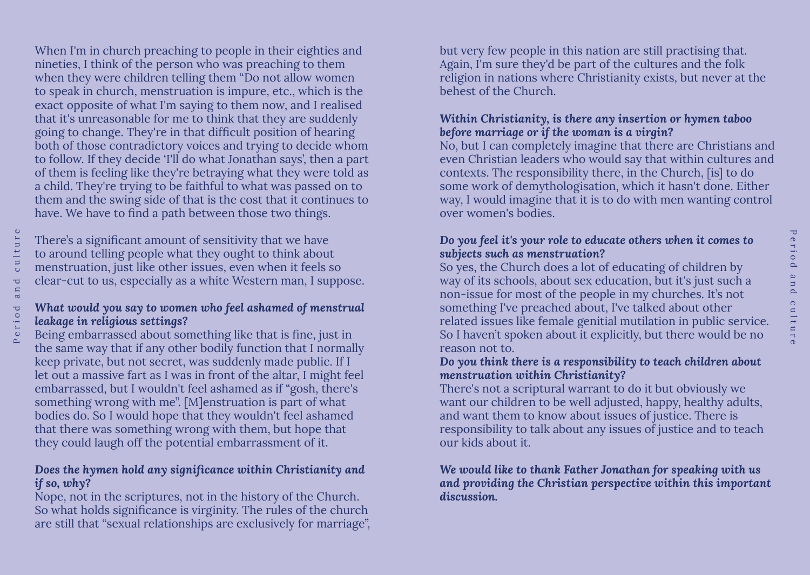When I'm in church preaching to people in their eighties and nineties, I think of the person who was preaching to them when they were children telling them "Do not allow women to speak in church, menstruation is impure, etc., which is the exact opposite of what I'm saying to them now, and I realised that it's unreasonable for me to think that they are suddenly going to change. They're in that difficult position of hearing both of those contradictory voices and trying to decide whom to follow. If they decide 'I'll do what Jonathan says', then a part of them is feeling like they're betraying what they were told as a child. They're trying to be faithful to what was passed on to them and the swing side of that is the cost that it continues to have. We have to find a path between those two things.

There's a significant amount of sensitivity that we have to around telling people what they ought to think about menstruation, just like other issues, even when it feels so clear-cut to us, especially as a white Western man, I suppose.

#### *What would you say to women who feel ashamed of menstrual leakage in religious settings?*

Being embarrassed about something like that is fine, just in the same way that if any other bodily function that I normally keep private, but not secret, was suddenly made public. If I let out a massive fart as I was in front of the altar, I might feel embarrassed, but I wouldn't feel ashamed as if "gosh, there's something wrong with me". [M]enstruation is part of what bodies do. So I would hope that they wouldn't feel ashamed that there was something wrong with them, but hope that they could laugh off the potential embarrassment of it.

# *Does the hymen hold any significance within Christianity and if so, why?*

Nope, not in the scriptures, not in the history of the Church. So what holds significance is virginity. The rules of the church are still that "sexual relationships are exclusively for marriage", but very few people in this nation are still practising that. Again, I'm sure they'd be part of the cultures and the folk religion in nations where Christianity exists, but never at the behest of the Church.

# *Within Christianity, is there any insertion or hymen taboo before marriage or if the woman is a virgin?*

No, but I can completely imagine that there are Christians and even Christian leaders who would say that within cultures and contexts. The responsibility there, in the Church, [is] to do some work of demythologisation, which it hasn't done. Either way, I would imagine that it is to do with men wanting control over women's bodies.

# *Do you feel it's your role to educate others when it comes to subjects such as menstruation?*

So yes, the Church does a lot of educating of children by way of its schools, about sex education, but it's just such a non-issue for most of the people in my churches. It's not something I've preached about, I've talked about other related issues like female genitial mutilation in public service. So I haven't spoken about it explicitly, but there would be no reason not to.

#### *Do you think there is a responsibility to teach children about menstruation within Christianity?*

There's not a scriptural warrant to do it but obviously we want our children to be well adjusted, happy, healthy adults, and want them to know about issues of justice. There is responsibility to talk about any issues of justice and to teach our kids about it.

#### *We would like to thank Father Jonathan for speaking with us and providing the Christian perspective within this important discussion.*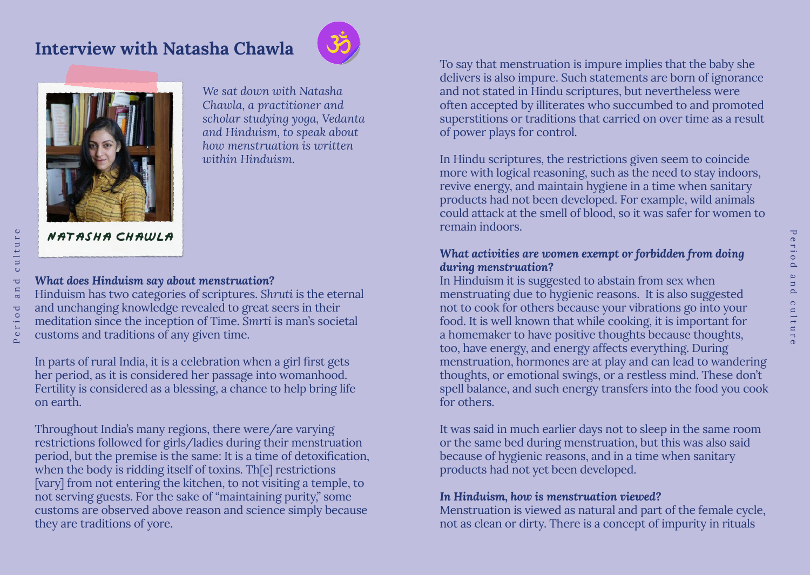# **Interview with Natasha Chawla**





*We sat down with Natasha Chawla, a practitioner and scholar studying yoga, Vedanta and Hinduism, to speak about how menstruation is written within Hinduism.* 

# **Natasha Chawla**

*What does Hinduism say about menstruation?* Hinduism has two categories of scriptures. *Shruti* is the eternal and unchanging knowledge revealed to great seers in their meditation since the inception of Time. *Smrti* is man's societal customs and traditions of any given time.

In parts of rural India, it is a celebration when a girl first gets her period, as it is considered her passage into womanhood. Fertility is considered as a blessing, a chance to help bring life on earth.

Throughout India's many regions, there were/are varying restrictions followed for girls/ladies during their menstruation period, but the premise is the same: It is a time of detoxification, when the body is ridding itself of toxins. Th[e] restrictions [vary] from not entering the kitchen, to not visiting a temple, to not serving guests. For the sake of "maintaining purity," some customs are observed above reason and science simply because they are traditions of yore.

To say that menstruation is impure implies that the baby she delivers is also impure. Such statements are born of ignorance and not stated in Hindu scriptures, but nevertheless were often accepted by illiterates who succumbed to and promoted superstitions or traditions that carried on over time as a result of power plays for control.

In Hindu scriptures, the restrictions given seem to coincide more with logical reasoning, such as the need to stay indoors, revive energy, and maintain hygiene in a time when sanitary products had not been developed. For example, wild animals could attack at the smell of blood, so it was safer for women to remain indoors.

#### *What activities are women exempt or forbidden from doing during menstruation?*

In Hinduism it is suggested to abstain from sex when menstruating due to hygienic reasons. It is also suggested not to cook for others because your vibrations go into your food. It is well known that while cooking, it is important for a homemaker to have positive thoughts because thoughts, too, have energy, and energy affects everything. During menstruation, hormones are at play and can lead to wandering thoughts, or emotional swings, or a restless mind. These don't spell balance, and such energy transfers into the food you cook for others.

It was said in much earlier days not to sleep in the same room or the same bed during menstruation, but this was also said because of hygienic reasons, and in a time when sanitary products had not yet been developed.

#### *In Hinduism, how is menstruation viewed?*

Menstruation is viewed as natural and part of the female cycle, not as clean or dirty. There is a concept of impurity in rituals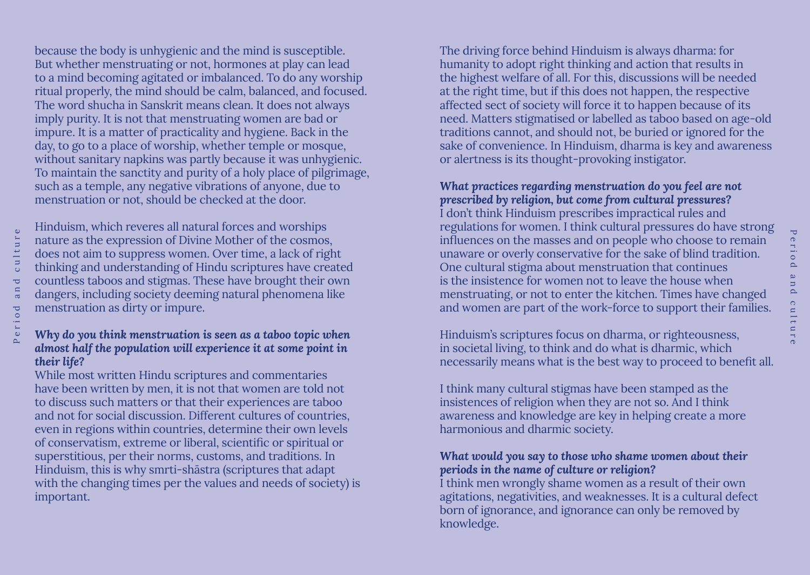because the body is unhygienic and the mind is susceptible. But whether menstruating or not, hormones at play can lead to a mind becoming agitated or imbalanced. To do any worship ritual properly, the mind should be calm, balanced, and focused. The word shucha in Sanskrit means clean. It does not always imply purity. It is not that menstruating women are bad or impure. It is a matter of practicality and hygiene. Back in the day, to go to a place of worship, whether temple or mosque, without sanitary napkins was partly because it was unhygienic. To maintain the sanctity and purity of a holy place of pilgrimage, such as a temple, any negative vibrations of anyone, due to menstruation or not, should be checked at the door.

culture Period and culture  $\overline{\mathbf{C}}$ a n  $\circ$  d Peri Hinduism, which reveres all natural forces and worships nature as the expression of Divine Mother of the cosmos, does not aim to suppress women. Over time, a lack of right thinking and understanding of Hindu scriptures have created countless taboos and stigmas. These have brought their own dangers, including society deeming natural phenomena like menstruation as dirty or impure.

#### *Why do you think menstruation is seen as a taboo topic when almost half the population will experience it at some point in their life?*

While most written Hindu scriptures and commentaries have been written by men, it is not that women are told not to discuss such matters or that their experiences are taboo and not for social discussion. Different cultures of countries, even in regions within countries, determine their own levels of conservatism, extreme or liberal, scientific or spiritual or superstitious, per their norms, customs, and traditions. In Hinduism, this is why smrti-shāstra (scriptures that adapt with the changing times per the values and needs of society) is important.

The driving force behind Hinduism is always dharma: for humanity to adopt right thinking and action that results in the highest welfare of all. For this, discussions will be needed at the right time, but if this does not happen, the respective affected sect of society will force it to happen because of its need. Matters stigmatised or labelled as taboo based on age-old traditions cannot, and should not, be buried or ignored for the sake of convenience. In Hinduism, dharma is key and awareness or alertness is its thought-provoking instigator.

# *What practices regarding menstruation do you feel are not prescribed by religion, but come from cultural pressures?*

I don't think Hinduism prescribes impractical rules and regulations for women. I think cultural pressures do have strong influences on the masses and on people who choose to remain unaware or overly conservative for the sake of blind tradition. One cultural stigma about menstruation that continues is the insistence for women not to leave the house when menstruating, or not to enter the kitchen. Times have changed and women are part of the work-force to support their families.

Hinduism's scriptures focus on dharma, or righteousness, in societal living, to think and do what is dharmic, which necessarily means what is the best way to proceed to benefit all.

I think many cultural stigmas have been stamped as the insistences of religion when they are not so. And I think awareness and knowledge are key in helping create a more harmonious and dharmic society.

# *What would you say to those who shame women about their periods in the name of culture or religion?*

I think men wrongly shame women as a result of their own agitations, negativities, and weaknesses. It is a cultural defect born of ignorance, and ignorance can only be removed by knowledge.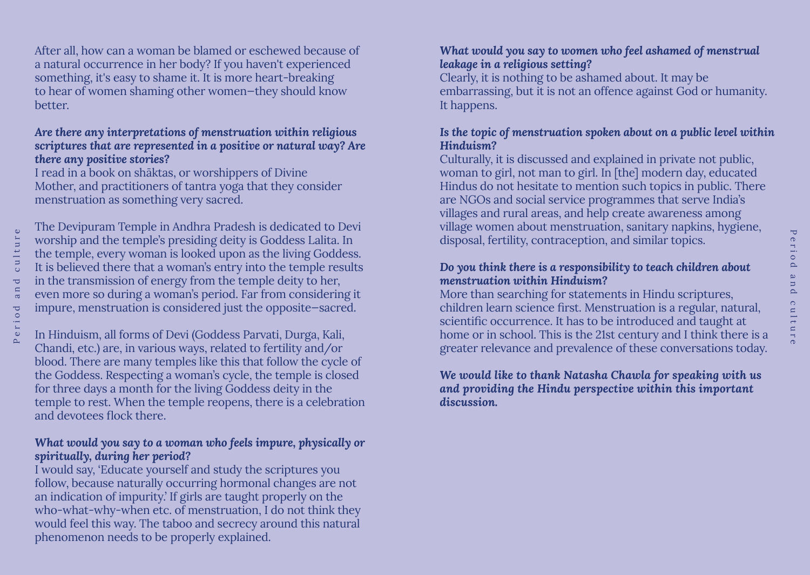After all, how can a woman be blamed or eschewed because of a natural occurrence in her body? If you haven't experienced something, it's easy to shame it. It is more heart-breaking to hear of women shaming other women—they should know better.

#### *Are there any interpretations of menstruation within religious scriptures that are represented in a positive or natural way? Are there any positive stories?*

I read in a book on shāktas, or worshippers of Divine Mother, and practitioners of tantra yoga that they consider menstruation as something very sacred.

The Devipuram Temple in Andhra Pradesh is dedicated to Devi worship and the temple's presiding deity is Goddess Lalita. In the temple, every woman is looked upon as the living Goddess. It is believed there that a woman's entry into the temple results in the transmission of energy from the temple deity to her, even more so during a woman's period. Far from considering it impure, menstruation is considered just the opposite—sacred.

In Hinduism, all forms of Devi (Goddess Parvati, Durga, Kali, Chandi, etc.) are, in various ways, related to fertility and/or blood. There are many temples like this that follow the cycle of the Goddess. Respecting a woman's cycle, the temple is closed for three days a month for the living Goddess deity in the temple to rest. When the temple reopens, there is a celebration and devotees flock there.

# *What would you say to a woman who feels impure, physically or spiritually, during her period?*

I would say, 'Educate yourself and study the scriptures you follow, because naturally occurring hormonal changes are not an indication of impurity.' If girls are taught properly on the who-what-why-when etc. of menstruation, I do not think they would feel this way. The taboo and secrecy around this natural phenomenon needs to be properly explained.

# *What would you say to women who feel ashamed of menstrual leakage in a religious setting?*

Clearly, it is nothing to be ashamed about. It may be embarrassing, but it is not an offence against God or humanity. It happens.

# *Is the topic of menstruation spoken about on a public level within Hinduism?*

Culturally, it is discussed and explained in private not public, woman to girl, not man to girl. In [the] modern day, educated Hindus do not hesitate to mention such topics in public. There are NGOs and social service programmes that serve India's villages and rural areas, and help create awareness among village women about menstruation, sanitary napkins, hygiene, disposal, fertility, contraception, and similar topics.

# *Do you think there is a responsibility to teach children about menstruation within Hinduism?*

More than searching for statements in Hindu scriptures, children learn science first. Menstruation is a regular, natural, scientific occurrence. It has to be introduced and taught at home or in school. This is the 21st century and I think there is a greater relevance and prevalence of these conversations today.

# *We would like to thank Natasha Chawla for speaking with us and providing the Hindu perspective within this important discussion.*

 $\overline{\mathbf{U}}$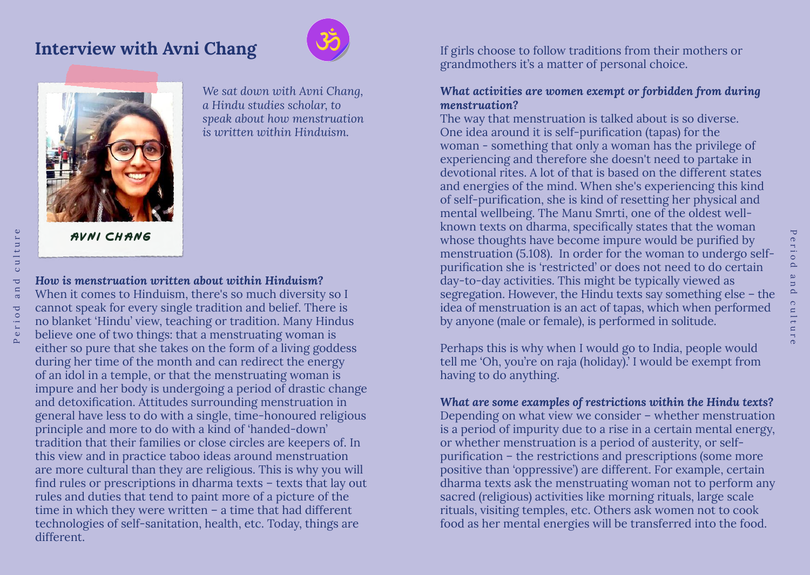# **Interview with Avni Chang**





*We sat down with Avni Chang, a Hindu studies scholar, to speak about how menstruation is written within Hinduism.* 

# **Avni Chang**

*How is menstruation written about within Hinduism?* When it comes to Hinduism, there's so much diversity so I cannot speak for every single tradition and belief. There is no blanket 'Hindu' view, teaching or tradition. Many Hindus believe one of two things: that a menstruating woman is either so pure that she takes on the form of a living goddess during her time of the month and can redirect the energy of an idol in a temple, or that the menstruating woman is impure and her body is undergoing a period of drastic change and detoxification. Attitudes surrounding menstruation in general have less to do with a single, time-honoured religious principle and more to do with a kind of 'handed-down' tradition that their families or close circles are keepers of. In this view and in practice taboo ideas around menstruation are more cultural than they are religious. This is why you will find rules or prescriptions in dharma texts – texts that lay out rules and duties that tend to paint more of a picture of the time in which they were written – a time that had different technologies of self-sanitation, health, etc. Today, things are different.

If girls choose to follow traditions from their mothers or grandmothers it's a matter of personal choice.

#### *What activities are women exempt or forbidden from during menstruation?*

The way that menstruation is talked about is so diverse. One idea around it is self-purification (tapas) for the woman - something that only a woman has the privilege of experiencing and therefore she doesn't need to partake in devotional rites. A lot of that is based on the different states and energies of the mind. When she's experiencing this kind of self-purification, she is kind of resetting her physical and mental wellbeing. The Manu Smrti, one of the oldest wellknown texts on dharma, specifically states that the woman whose thoughts have become impure would be purified by menstruation (5.108). In order for the woman to undergo selfpurification she is 'restricted' or does not need to do certain day-to-day activities. This might be typically viewed as segregation. However, the Hindu texts say something else – the idea of menstruation is an act of tapas, which when performed by anyone (male or female), is performed in solitude.

Perhaps this is why when I would go to India, people would tell me 'Oh, you're on raja (holiday).' I would be exempt from having to do anything.

*What are some examples of restrictions within the Hindu texts?* Depending on what view we consider – whether menstruation is a period of impurity due to a rise in a certain mental energy, or whether menstruation is a period of austerity, or selfpurification – the restrictions and prescriptions (some more positive than 'oppressive') are different. For example, certain dharma texts ask the menstruating woman not to perform any sacred (religious) activities like morning rituals, large scale rituals, visiting temples, etc. Others ask women not to cook food as her mental energies will be transferred into the food.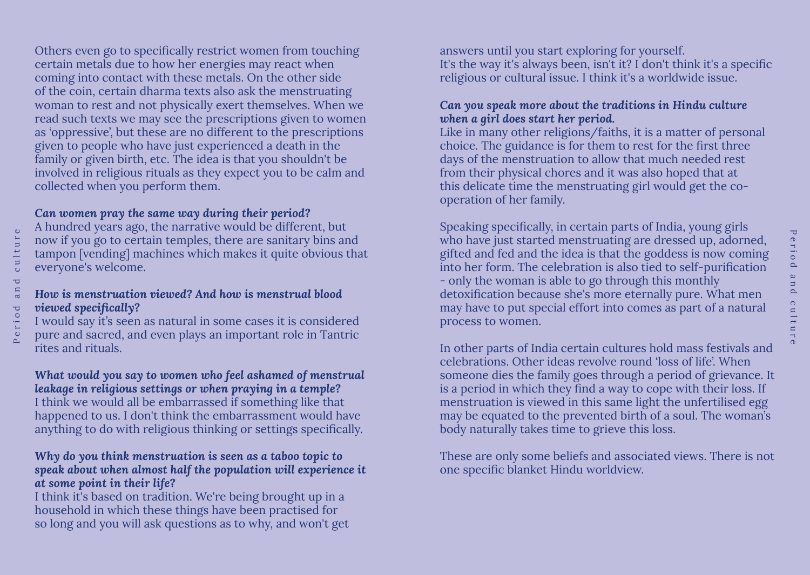Others even go to specifically restrict women from touching certain metals due to how her energies may react when coming into contact with these metals. On the other side of the coin, certain dharma texts also ask the menstruating woman to rest and not physically exert themselves. When we read such texts we may see the prescriptions given to women as 'oppressive', but these are no different to the prescriptions given to people who have just experienced a death in the family or given birth, etc. The idea is that you shouldn't be involved in religious rituals as they expect you to be calm and collected when you perform them.

# *Can women pray the same way during their period?*

Period and culture

eriod

 $\overline{\mathbf{C}}$ a n

culture

A hundred years ago, the narrative would be different, but now if you go to certain temples, there are sanitary bins and tampon [vending] machines which makes it quite obvious that everyone's welcome.

# *How is menstruation viewed? And how is menstrual blood viewed specifically?*

I would say it's seen as natural in some cases it is considered pure and sacred, and even plays an important role in Tantric rites and rituals.

#### *What would you say to women who feel ashamed of menstrual leakage in religious settings or when praying in a temple?* I think we would all be embarrassed if something like that

happened to us. I don't think the embarrassment would have anything to do with religious thinking or settings specifically.

# *Why do you think menstruation is seen as a taboo topic to speak about when almost half the population will experience it at some point in their life?*

I think it's based on tradition. We're being brought up in a household in which these things have been practised for so long and you will ask questions as to why, and won't get answers until you start exploring for yourself. It's the way it's always been, isn't it? I don't think it's a specific religious or cultural issue. I think it's a worldwide issue.

# *Can you speak more about the traditions in Hindu culture when a girl does start her period.*

Like in many other religions/faiths, it is a matter of personal choice. The guidance is for them to rest for the first three days of the menstruation to allow that much needed rest from their physical chores and it was also hoped that at this delicate time the menstruating girl would get the cooperation of her family.

Speaking specifically, in certain parts of India, young girls who have just started menstruating are dressed up, adorned, gifted and fed and the idea is that the goddess is now coming into her form. The celebration is also tied to self-purification - only the woman is able to go through this monthly detoxification because she's more eternally pure. What men may have to put special effort into comes as part of a natural process to women.

In other parts of India certain cultures hold mass festivals and celebrations. Other ideas revolve round 'loss of life'. When someone dies the family goes through a period of grievance. It is a period in which they find a way to cope with their loss. If menstruation is viewed in this same light the unfertilised egg may be equated to the prevented birth of a soul. The woman's body naturally takes time to grieve this loss.

These are only some beliefs and associated views. There is not one specific blanket Hindu worldview.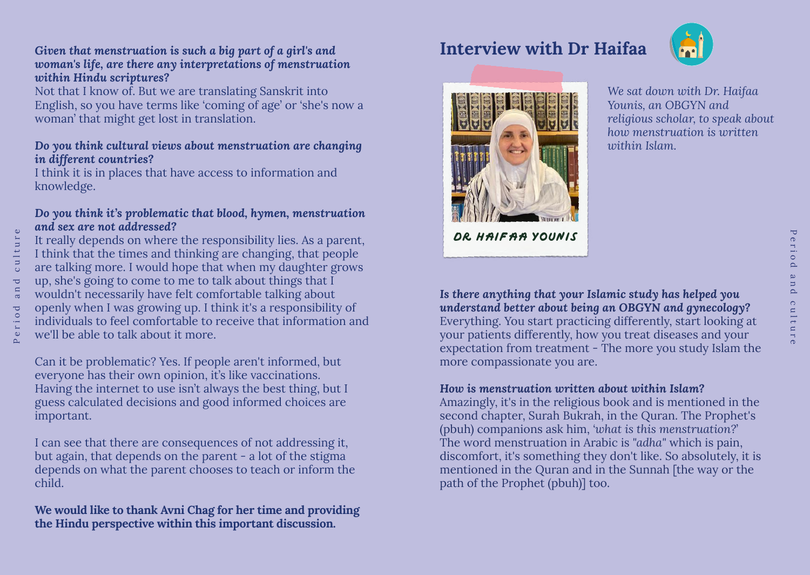#### *Given that menstruation is such a big part of a girl's and woman's life, are there any interpretations of menstruation within Hindu scriptures?*

Not that I know of. But we are translating Sanskrit into English, so you have terms like 'coming of age' or 'she's now a woman' that might get lost in translation.

#### *Do you think cultural views about menstruation are changing in different countries?*

I think it is in places that have access to information and knowledge.

#### *Do you think it's problematic that blood, hymen, menstruation and sex are not addressed?*

It really depends on where the responsibility lies. As a parent, I think that the times and thinking are changing, that people are talking more. I would hope that when my daughter grows up, she's going to come to me to talk about things that I wouldn't necessarily have felt comfortable talking about openly when I was growing up. I think it's a responsibility of individuals to feel comfortable to receive that information and we'll be able to talk about it more.

Can it be problematic? Yes. If people aren't informed, but everyone has their own opinion, it's like vaccinations. Having the internet to use isn't always the best thing, but I guess calculated decisions and good informed choices are important.

I can see that there are consequences of not addressing it, but again, that depends on the parent - a lot of the stigma depends on what the parent chooses to teach or inform the child.

**We would like to thank Avni Chag for her time and providing the Hindu perspective within this important discussion.**

# **Interview with Dr Haifaa**





**DR Haifaa Younis**

*We sat down with Dr. Haifaa Younis, an OBGYN and religious scholar, to speak about how menstruation is written within Islam.* 

*Is there anything that your Islamic study has helped you understand better about being an OBGYN and gynecology?* Everything. You start practicing differently, start looking at your patients differently, how you treat diseases and your expectation from treatment - The more you study Islam the more compassionate you are.

# *How is menstruation written about within Islam?*

Amazingly, it's in the religious book and is mentioned in the second chapter, Surah Bukrah, in the Quran. The Prophet's (pbuh) companions ask him, *'what is this menstruation?*' The word menstruation in Arabic is *"adha"* which is pain, discomfort, it's something they don't like. So absolutely, it is mentioned in the Quran and in the Sunnah [the way or the path of the Prophet (pbuh)] too.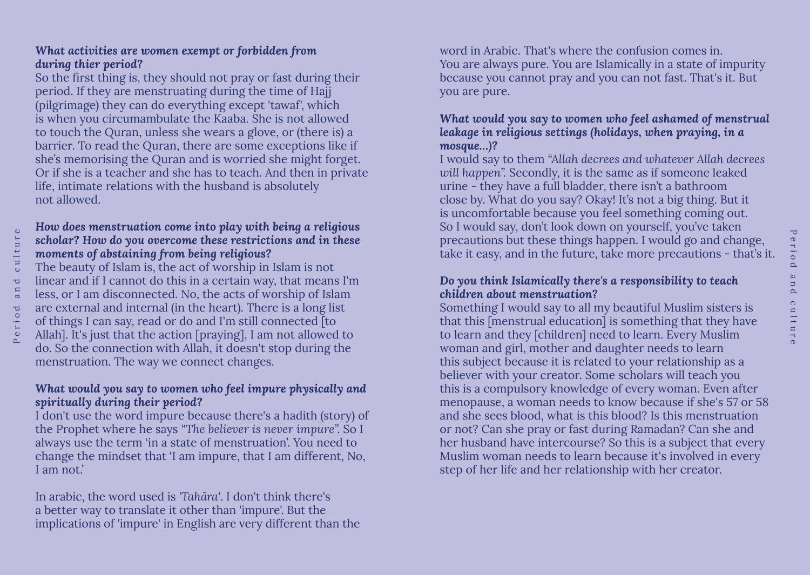# *What activities are women exempt or forbidden from during thier period?*

So the first thing is, they should not pray or fast during their period. If they are menstruating during the time of Hajj (pilgrimage) they can do everything except 'tawaf', which is when you circumambulate the Kaaba. She is not allowed to touch the Quran, unless she wears a glove, or (there is) a barrier. To read the Quran, there are some exceptions like if she's memorising the Quran and is worried she might forget. Or if she is a teacher and she has to teach. And then in private life, intimate relations with the husband is absolutely not allowed.

#### *How does menstruation come into play with being a religious scholar? How do you overcome these restrictions and in these moments of abstaining from being religious?*

The beauty of Islam is, the act of worship in Islam is not linear and if I cannot do this in a certain way, that means I'm less, or I am disconnected. No, the acts of worship of Islam are external and internal (in the heart). There is a long list of things I can say, read or do and I'm still connected [to Allah]. It's just that the action [praying], I am not allowed to do. So the connection with Allah, it doesn't stop during the menstruation. The way we connect changes.

# *What would you say to women who feel impure physically and spiritually during their period?*

I don't use the word impure because there's a hadith (story) of the Prophet where he says *"The believer is never impure".* So I always use the term 'in a state of menstruation'. You need to change the mindset that 'I am impure, that I am different, No, I am not.'

In arabic, the word used is *'Tahāra'*. I don't think there's a better way to translate it other than 'impure'. But the implications of 'impure' in English are very different than the word in Arabic. That's where the confusion comes in. You are always pure. You are Islamically in a state of impurity because you cannot pray and you can not fast. That's it. But you are pure.

# *What would you say to women who feel ashamed of menstrual leakage in religious settings (holidays, when praying, in a mosque…)?*

I would say to them *"Allah decrees and whatever Allah decrees will happen".* Secondly, it is the same as if someone leaked urine - they have a full bladder, there isn't a bathroom close by. What do you say? Okay! It's not a big thing. But it is uncomfortable because you feel something coming out. So I would say, don't look down on yourself, you've taken precautions but these things happen. I would go and change, take it easy, and in the future, take more precautions - that's it.

# *Do you think Islamically there's a responsibility to teach children about menstruation?*

Something I would say to all my beautiful Muslim sisters is that this [menstrual education] is something that they have to learn and they [children] need to learn. Every Muslim woman and girl, mother and daughter needs to learn this subject because it is related to your relationship as a believer with your creator. Some scholars will teach you this is a compulsory knowledge of every woman. Even after menopause, a woman needs to know because if she's 57 or 58 and she sees blood, what is this blood? Is this menstruation or not? Can she pray or fast during Ramadan? Can she and her husband have intercourse? So this is a subject that every Muslim woman needs to learn because it's involved in every step of her life and her relationship with her creator.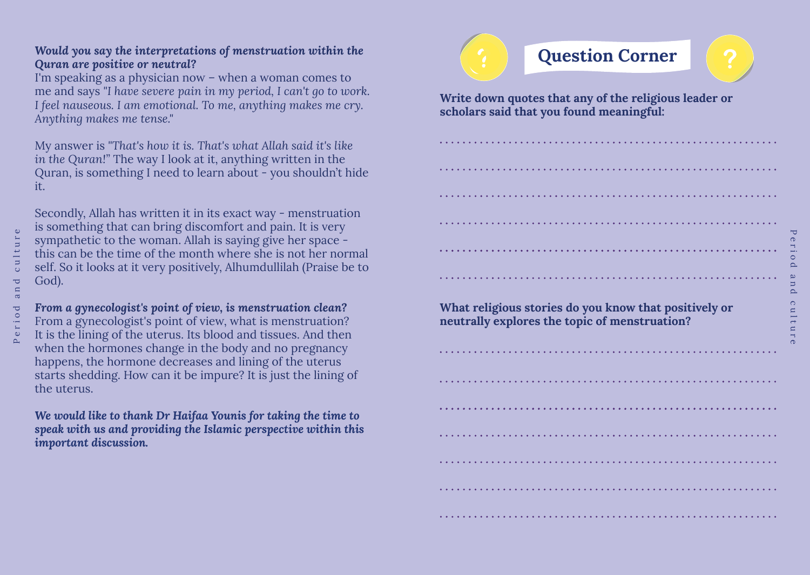# *Would you say the interpretations of menstruation within the Quran are positive or neutral?*

I'm speaking as a physician now – when a woman comes to me and says *"I have severe pain in my period, I can't go to work. I feel nauseous. I am emotional. To me, anything makes me cry. Anything makes me tense."* 

My answer is *"That's how it is. That's what Allah said it's like in the Quran!"* The way I look at it, anything written in the Quran, is something I need to learn about - you shouldn't hide it.

Secondly, Allah has written it in its exact way - menstruation is something that can bring discomfort and pain. It is very sympathetic to the woman. Allah is saying give her space this can be the time of the month where she is not her normal self. So it looks at it very positively, Alhumdullilah (Praise be to God).

*From a gynecologist's point of view, is menstruation clean?* From a gynecologist's point of view, what is menstruation? It is the lining of the uterus. Its blood and tissues. And then when the hormones change in the body and no pregnancy happens, the hormone decreases and lining of the uterus starts shedding. How can it be impure? It is just the lining of the uterus.

*We would like to thank Dr Haifaa Younis for taking the time to speak with us and providing the Islamic perspective within this important discussion.*



**Write down quotes that any of the religious leader or scholars said that you found meaningful:**

**What religious stories do you know that positively or neutrally explores the topic of menstruation?**

Period and culture  $\bigcirc$  $\sim$  $\circ$  $\overline{\mathbb{E}}$